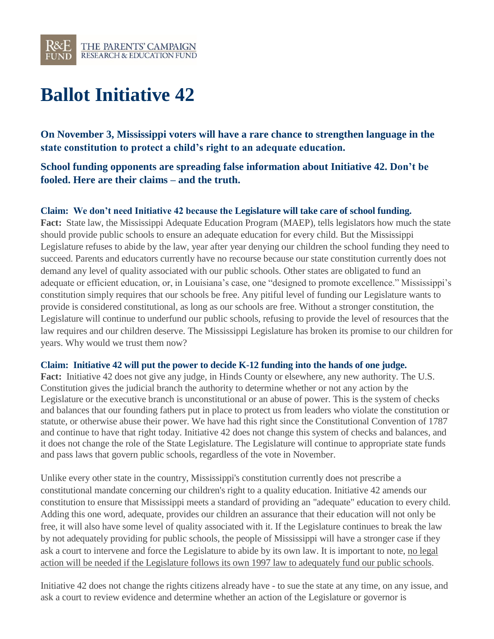

# **Ballot Initiative 42**

**On November 3, Mississippi voters will have a rare chance to strengthen language in the state constitution to protect a child's right to an adequate education.**

**School funding opponents are spreading false information about Initiative 42. Don't be fooled. Here are their claims – and the truth.**

## **Claim: We don't need Initiative 42 because the Legislature will take care of school funding.**

**Fact:** State law, the Mississippi Adequate Education Program (MAEP), tells legislators how much the state should provide public schools to ensure an adequate education for every child. But the Mississippi Legislature refuses to abide by the law, year after year denying our children the school funding they need to succeed. Parents and educators currently have no recourse because our state constitution currently does not demand any level of quality associated with our public schools. Other states are obligated to fund an adequate or efficient education, or, in Louisiana's case, one "designed to promote excellence." Mississippi's constitution simply requires that our schools be free. Any pitiful level of funding our Legislature wants to provide is considered constitutional, as long as our schools are free. Without a stronger constitution, the Legislature will continue to underfund our public schools, refusing to provide the level of resources that the law requires and our children deserve. The Mississippi Legislature has broken its promise to our children for years. Why would we trust them now?

#### **Claim: Initiative 42 will put the power to decide K-12 funding into the hands of one judge.**

**Fact:** Initiative 42 does not give any judge, in Hinds County or elsewhere, any new authority. The U.S. Constitution gives the judicial branch the authority to determine whether or not any action by the Legislature or the executive branch is unconstitutional or an abuse of power. This is the system of checks and balances that our founding fathers put in place to protect us from leaders who violate the constitution or statute, or otherwise abuse their power. We have had this right since the Constitutional Convention of 1787 and continue to have that right today. Initiative 42 does not change this system of checks and balances, and it does not change the role of the State Legislature. The Legislature will continue to appropriate state funds and pass laws that govern public schools, regardless of the vote in November.

Unlike every other state in the country, Mississippi's constitution currently does not prescribe a constitutional mandate concerning our children's right to a quality education. Initiative 42 amends our constitution to ensure that Mississippi meets a standard of providing an "adequate" education to every child. Adding this one word, adequate, provides our children an assurance that their education will not only be free, it will also have some level of quality associated with it. If the Legislature continues to break the law by not adequately providing for public schools, the people of Mississippi will have a stronger case if they ask a court to intervene and force the Legislature to abide by its own law. It is important to note, no legal action will be needed if the Legislature follows its own 1997 law to adequately fund our public schools.

Initiative 42 does not change the rights citizens already have - to sue the state at any time, on any issue, and ask a court to review evidence and determine whether an action of the Legislature or governor is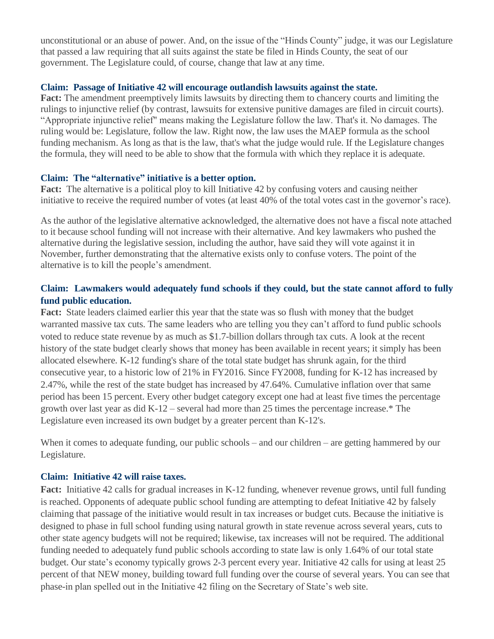unconstitutional or an abuse of power. And, on the issue of the "Hinds County" judge, it was our Legislature that passed a law requiring that all suits against the state be filed in Hinds County, the seat of our government. The Legislature could, of course, change that law at any time.

## **Claim: Passage of Initiative 42 will encourage outlandish lawsuits against the state.**

**Fact:** The amendment preemptively limits lawsuits by directing them to chancery courts and limiting the rulings to injunctive relief (by contrast, lawsuits for extensive punitive damages are filed in circuit courts). "Appropriate injunctive relief" means making the Legislature follow the law. That's it. No damages. The ruling would be: Legislature, follow the law. Right now, the law uses the MAEP formula as the school funding mechanism. As long as that is the law, that's what the judge would rule. If the Legislature changes the formula, they will need to be able to show that the formula with which they replace it is adequate.

## **Claim: The "alternative" initiative is a better option.**

**Fact:** The alternative is a political ploy to kill Initiative 42 by confusing voters and causing neither initiative to receive the required number of votes (at least 40% of the total votes cast in the governor's race).

As the author of the legislative alternative acknowledged, the alternative does not have a fiscal note attached to it because school funding will not increase with their alternative. And key lawmakers who pushed the alternative during the legislative session, including the author, have said they will vote against it in November, further demonstrating that the alternative exists only to confuse voters. The point of the alternative is to kill the people's amendment.

# **Claim: Lawmakers would adequately fund schools if they could, but the state cannot afford to fully fund public education.**

**Fact:** State leaders claimed earlier this year that the state was so flush with money that the budget warranted massive tax cuts. The same leaders who are telling you they can't afford to fund public schools voted to reduce state revenue by as much as \$1.7-billion dollars through tax cuts. A look at the recent history of the state budget clearly shows that money has been available in recent years; it simply has been allocated elsewhere. K-12 funding's share of the total state budget has shrunk again, for the third consecutive year, to a historic low of 21% in FY2016. Since FY2008, funding for K-12 has increased by 2.47%, while the rest of the state budget has increased by 47.64%. Cumulative inflation over that same period has been 15 percent. Every other budget category except one had at least five times the percentage growth over last year as did K-12 – several had more than 25 times the percentage increase.\* The Legislature even increased its own budget by a greater percent than K-12's.

When it comes to adequate funding, our public schools – and our children – are getting hammered by our Legislature.

# **Claim: Initiative 42 will raise taxes.**

**Fact:** Initiative 42 calls for gradual increases in K-12 funding, whenever revenue grows, until full funding is reached. Opponents of adequate public school funding are attempting to defeat Initiative 42 by falsely claiming that passage of the initiative would result in tax increases or budget cuts. Because the initiative is designed to phase in full school funding using natural growth in state revenue across several years, cuts to other state agency budgets will not be required; likewise, tax increases will not be required. The additional funding needed to adequately fund public schools according to state law is only 1.64% of our total state budget. Our state's economy typically grows 2-3 percent every year. Initiative 42 calls for using at least 25 percent of that NEW money, building toward full funding over the course of several years. You can see that phase-in plan spelled out in the Initiative 42 filing on the Secretary of State's web site.